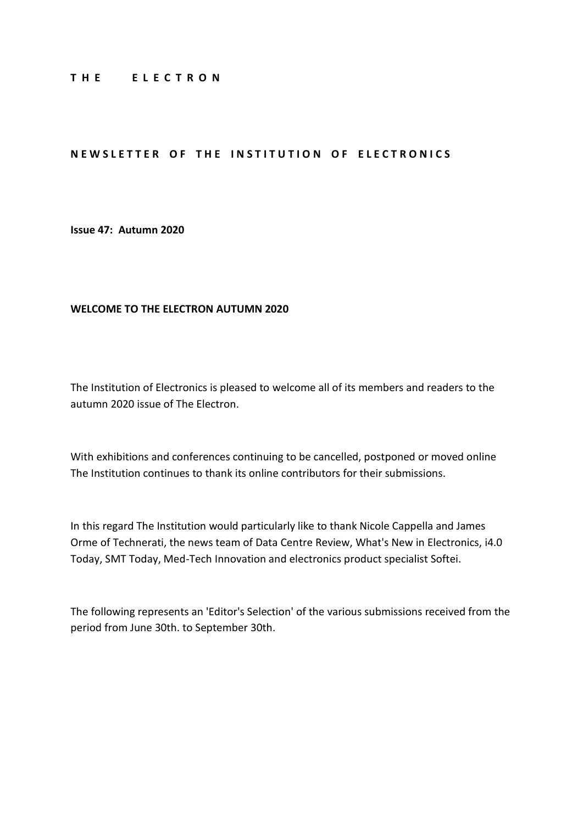#### **T H E E L E C T R O N**

#### **NEWSLETTER OF THE INSTITUTION OF ELECTRONICS**

**Issue 47: Autumn 2020**

#### **WELCOME TO THE ELECTRON AUTUMN 2020**

The Institution of Electronics is pleased to welcome all of its members and readers to the autumn 2020 issue of The Electron.

With exhibitions and conferences continuing to be cancelled, postponed or moved online The Institution continues to thank its online contributors for their submissions.

In this regard The Institution would particularly like to thank Nicole Cappella and James Orme of Technerati, the news team of Data Centre Review, What's New in Electronics, i4.0 Today, SMT Today, Med-Tech Innovation and electronics product specialist Softei.

The following represents an 'Editor's Selection' of the various submissions received from the period from June 30th. to September 30th.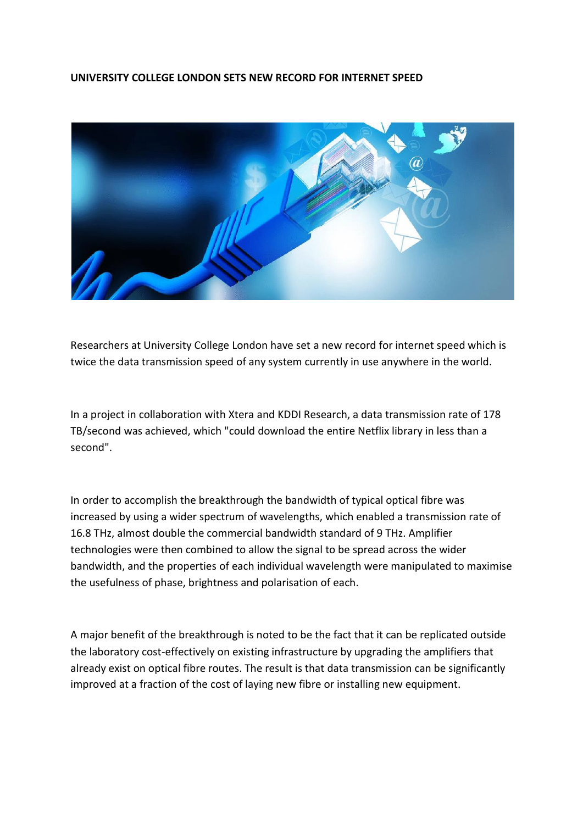### **UNIVERSITY COLLEGE LONDON SETS NEW RECORD FOR INTERNET SPEED**



Researchers at University College London have set a new record for internet speed which is twice the data transmission speed of any system currently in use anywhere in the world.

In a project in collaboration with Xtera and KDDI Research, a data transmission rate of 178 TB/second was achieved, which "could download the entire Netflix library in less than a second".

In order to accomplish the breakthrough the bandwidth of typical optical fibre was increased by using a wider spectrum of wavelengths, which enabled a transmission rate of 16.8 THz, almost double the commercial bandwidth standard of 9 THz. Amplifier technologies were then combined to allow the signal to be spread across the wider bandwidth, and the properties of each individual wavelength were manipulated to maximise the usefulness of phase, brightness and polarisation of each.

A major benefit of the breakthrough is noted to be the fact that it can be replicated outside the laboratory cost-effectively on existing infrastructure by upgrading the amplifiers that already exist on optical fibre routes. The result is that data transmission can be significantly improved at a fraction of the cost of laying new fibre or installing new equipment.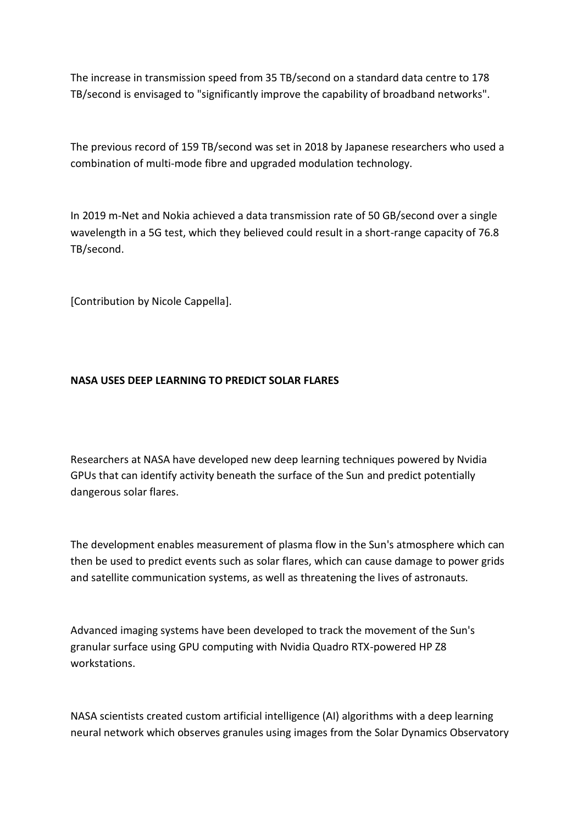The increase in transmission speed from 35 TB/second on a standard data centre to 178 TB/second is envisaged to "significantly improve the capability of broadband networks".

The previous record of 159 TB/second was set in 2018 by Japanese researchers who used a combination of multi-mode fibre and upgraded modulation technology.

In 2019 m-Net and Nokia achieved a data transmission rate of 50 GB/second over a single wavelength in a 5G test, which they believed could result in a short-range capacity of 76.8 TB/second.

[Contribution by Nicole Cappella].

# **NASA USES DEEP LEARNING TO PREDICT SOLAR FLARES**

Researchers at NASA have developed new deep learning techniques powered by Nvidia GPUs that can identify activity beneath the surface of the Sun and predict potentially dangerous solar flares.

The development enables measurement of plasma flow in the Sun's atmosphere which can then be used to predict events such as solar flares, which can cause damage to power grids and satellite communication systems, as well as threatening the lives of astronauts.

Advanced imaging systems have been developed to track the movement of the Sun's granular surface using GPU computing with Nvidia Quadro RTX-powered HP Z8 workstations.

NASA scientists created custom artificial intelligence (AI) algorithms with a deep learning neural network which observes granules using images from the Solar Dynamics Observatory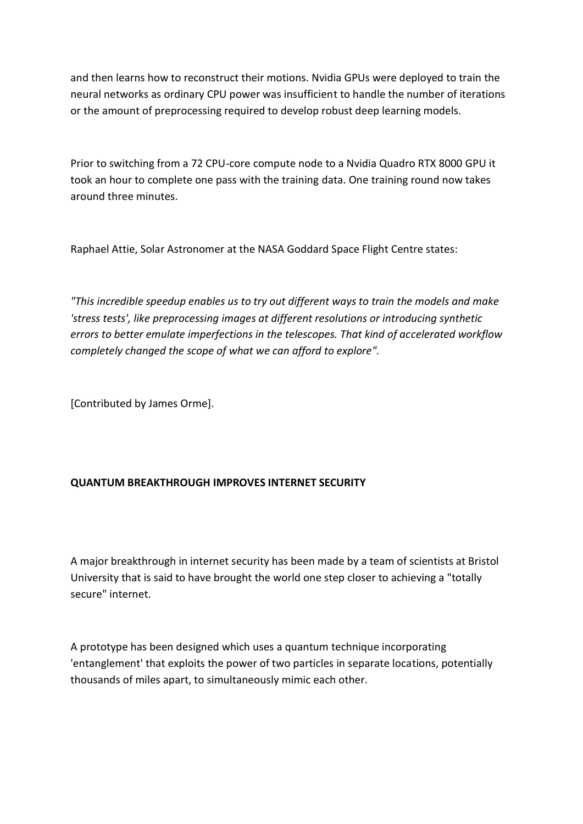and then learns how to reconstruct their motions. Nvidia GPUs were deployed to train the neural networks as ordinary CPU power was insufficient to handle the number of iterations or the amount of preprocessing required to develop robust deep learning models.

Prior to switching from a 72 CPU-core compute node to a Nvidia Quadro RTX 8000 GPU it took an hour to complete one pass with the training data. One training round now takes around three minutes.

Raphael Attie, Solar Astronomer at the NASA Goddard Space Flight Centre states:

*"This incredible speedup enables us to try out different ways to train the models and make 'stress tests', like preprocessing images at different resolutions or introducing synthetic errors to better emulate imperfections in the telescopes. That kind of accelerated workflow completely changed the scope of what we can afford to explore".*

[Contributed by James Orme].

# **QUANTUM BREAKTHROUGH IMPROVES INTERNET SECURITY**

A major breakthrough in internet security has been made by a team of scientists at Bristol University that is said to have brought the world one step closer to achieving a "totally secure" internet.

A prototype has been designed which uses a quantum technique incorporating 'entanglement' that exploits the power of two particles in separate locations, potentially thousands of miles apart, to simultaneously mimic each other.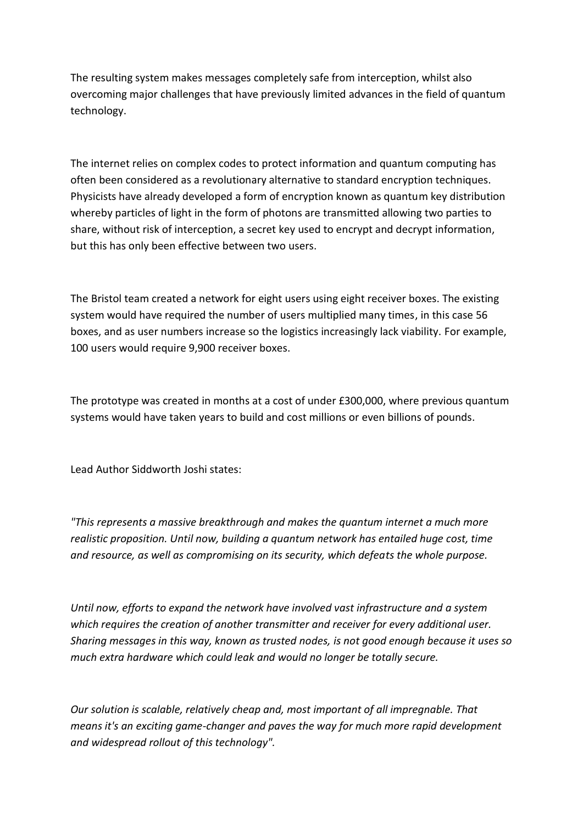The resulting system makes messages completely safe from interception, whilst also overcoming major challenges that have previously limited advances in the field of quantum technology.

The internet relies on complex codes to protect information and quantum computing has often been considered as a revolutionary alternative to standard encryption techniques. Physicists have already developed a form of encryption known as quantum key distribution whereby particles of light in the form of photons are transmitted allowing two parties to share, without risk of interception, a secret key used to encrypt and decrypt information, but this has only been effective between two users.

The Bristol team created a network for eight users using eight receiver boxes. The existing system would have required the number of users multiplied many times, in this case 56 boxes, and as user numbers increase so the logistics increasingly lack viability. For example, 100 users would require 9,900 receiver boxes.

The prototype was created in months at a cost of under £300,000, where previous quantum systems would have taken years to build and cost millions or even billions of pounds.

Lead Author Siddworth Joshi states:

*"This represents a massive breakthrough and makes the quantum internet a much more realistic proposition. Until now, building a quantum network has entailed huge cost, time and resource, as well as compromising on its security, which defeats the whole purpose.*

*Until now, efforts to expand the network have involved vast infrastructure and a system which requires the creation of another transmitter and receiver for every additional user. Sharing messages in this way, known as trusted nodes, is not good enough because it uses so much extra hardware which could leak and would no longer be totally secure.*

*Our solution is scalable, relatively cheap and, most important of all impregnable. That means it's an exciting game-changer and paves the way for much more rapid development and widespread rollout of this technology".*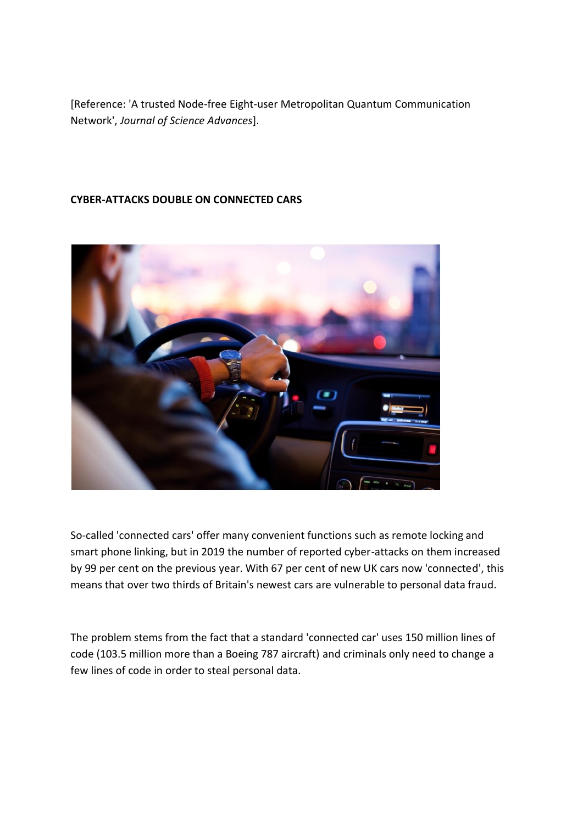[Reference: 'A trusted Node-free Eight-user Metropolitan Quantum Communication Network', *Journal of Science Advances*].

# **CYBER-ATTACKS DOUBLE ON CONNECTED CARS**



So-called 'connected cars' offer many convenient functions such as remote locking and smart phone linking, but in 2019 the number of reported cyber-attacks on them increased by 99 per cent on the previous year. With 67 per cent of new UK cars now 'connected', this means that over two thirds of Britain's newest cars are vulnerable to personal data fraud.

The problem stems from the fact that a standard 'connected car' uses 150 million lines of code (103.5 million more than a Boeing 787 aircraft) and criminals only need to change a few lines of code in order to steal personal data.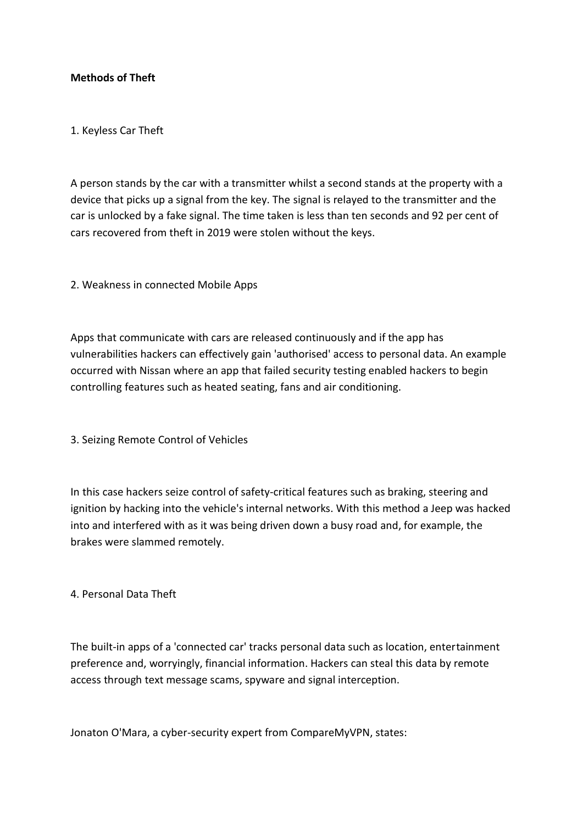### **Methods of Theft**

1. Keyless Car Theft

A person stands by the car with a transmitter whilst a second stands at the property with a device that picks up a signal from the key. The signal is relayed to the transmitter and the car is unlocked by a fake signal. The time taken is less than ten seconds and 92 per cent of cars recovered from theft in 2019 were stolen without the keys.

2. Weakness in connected Mobile Apps

Apps that communicate with cars are released continuously and if the app has vulnerabilities hackers can effectively gain 'authorised' access to personal data. An example occurred with Nissan where an app that failed security testing enabled hackers to begin controlling features such as heated seating, fans and air conditioning.

3. Seizing Remote Control of Vehicles

In this case hackers seize control of safety-critical features such as braking, steering and ignition by hacking into the vehicle's internal networks. With this method a Jeep was hacked into and interfered with as it was being driven down a busy road and, for example, the brakes were slammed remotely.

4. Personal Data Theft

The built-in apps of a 'connected car' tracks personal data such as location, entertainment preference and, worryingly, financial information. Hackers can steal this data by remote access through text message scams, spyware and signal interception.

Jonaton O'Mara, a cyber-security expert from CompareMyVPN, states: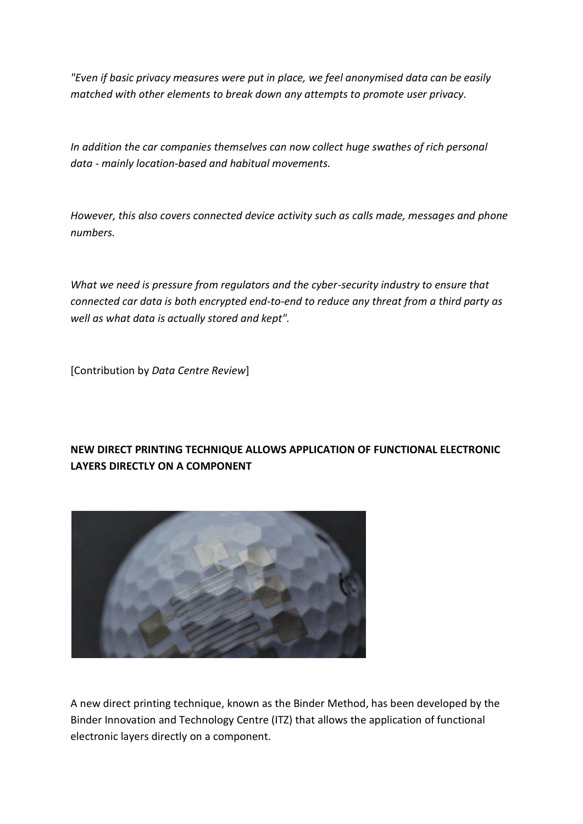*"Even if basic privacy measures were put in place, we feel anonymised data can be easily matched with other elements to break down any attempts to promote user privacy.*

*In addition the car companies themselves can now collect huge swathes of rich personal data - mainly location-based and habitual movements.*

*However, this also covers connected device activity such as calls made, messages and phone numbers.*

*What we need is pressure from regulators and the cyber-security industry to ensure that connected car data is both encrypted end-to-end to reduce any threat from a third party as well as what data is actually stored and kept".*

[Contribution by *Data Centre Review*]

# **NEW DIRECT PRINTING TECHNIQUE ALLOWS APPLICATION OF FUNCTIONAL ELECTRONIC LAYERS DIRECTLY ON A COMPONENT**



A new direct printing technique, known as the Binder Method, has been developed by the Binder Innovation and Technology Centre (ITZ) that allows the application of functional electronic layers directly on a component.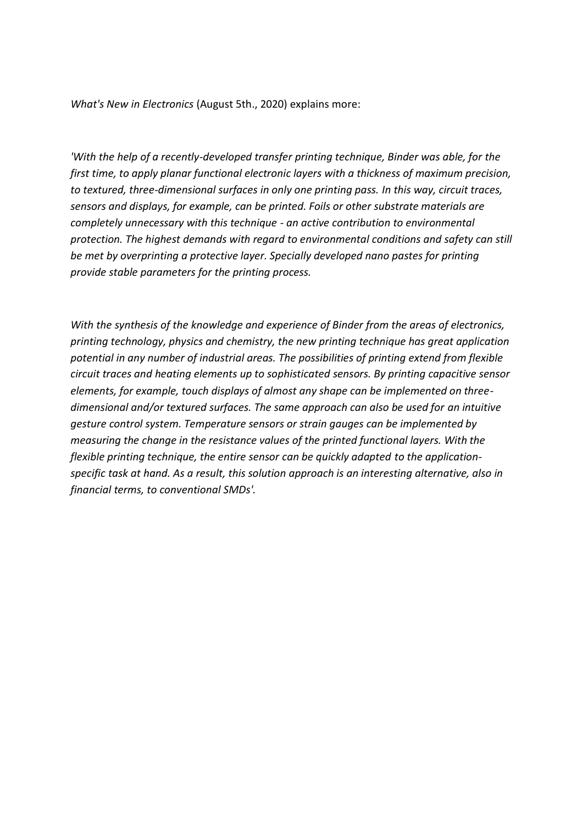*What's New in Electronics* (August 5th., 2020) explains more:

*'With the help of a recently-developed transfer printing technique, Binder was able, for the first time, to apply planar functional electronic layers with a thickness of maximum precision, to textured, three-dimensional surfaces in only one printing pass. In this way, circuit traces, sensors and displays, for example, can be printed. Foils or other substrate materials are completely unnecessary with this technique - an active contribution to environmental protection. The highest demands with regard to environmental conditions and safety can still be met by overprinting a protective layer. Specially developed nano pastes for printing provide stable parameters for the printing process.*

*With the synthesis of the knowledge and experience of Binder from the areas of electronics, printing technology, physics and chemistry, the new printing technique has great application potential in any number of industrial areas. The possibilities of printing extend from flexible circuit traces and heating elements up to sophisticated sensors. By printing capacitive sensor elements, for example, touch displays of almost any shape can be implemented on threedimensional and/or textured surfaces. The same approach can also be used for an intuitive gesture control system. Temperature sensors or strain gauges can be implemented by measuring the change in the resistance values of the printed functional layers. With the flexible printing technique, the entire sensor can be quickly adapted to the applicationspecific task at hand. As a result, this solution approach is an interesting alternative, also in financial terms, to conventional SMDs'.*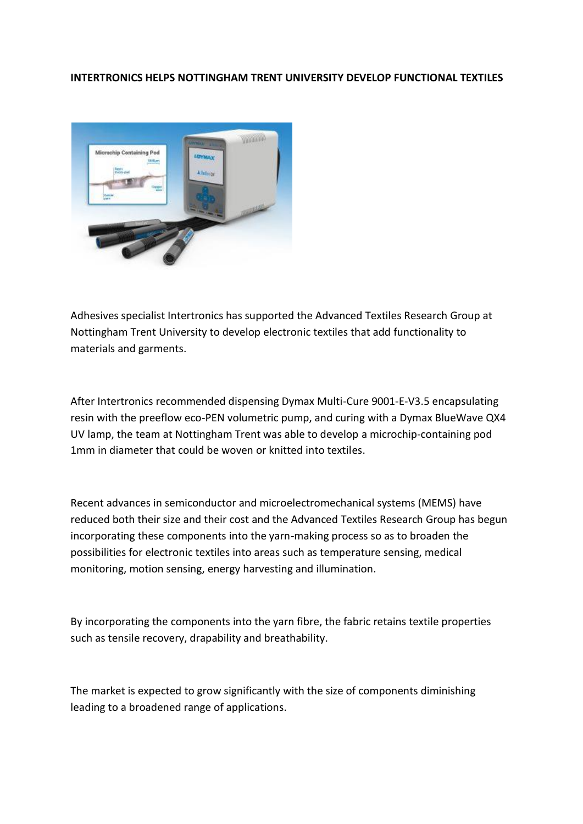### **INTERTRONICS HELPS NOTTINGHAM TRENT UNIVERSITY DEVELOP FUNCTIONAL TEXTILES**



Adhesives specialist Intertronics has supported the Advanced Textiles Research Group at Nottingham Trent University to develop electronic textiles that add functionality to materials and garments.

After Intertronics recommended dispensing Dymax Multi-Cure 9001-E-V3.5 encapsulating resin with the preeflow eco-PEN volumetric pump, and curing with a Dymax BlueWave QX4 UV lamp, the team at Nottingham Trent was able to develop a microchip-containing pod 1mm in diameter that could be woven or knitted into textiles.

Recent advances in semiconductor and microelectromechanical systems (MEMS) have reduced both their size and their cost and the Advanced Textiles Research Group has begun incorporating these components into the yarn-making process so as to broaden the possibilities for electronic textiles into areas such as temperature sensing, medical monitoring, motion sensing, energy harvesting and illumination.

By incorporating the components into the yarn fibre, the fabric retains textile properties such as tensile recovery, drapability and breathability.

The market is expected to grow significantly with the size of components diminishing leading to a broadened range of applications.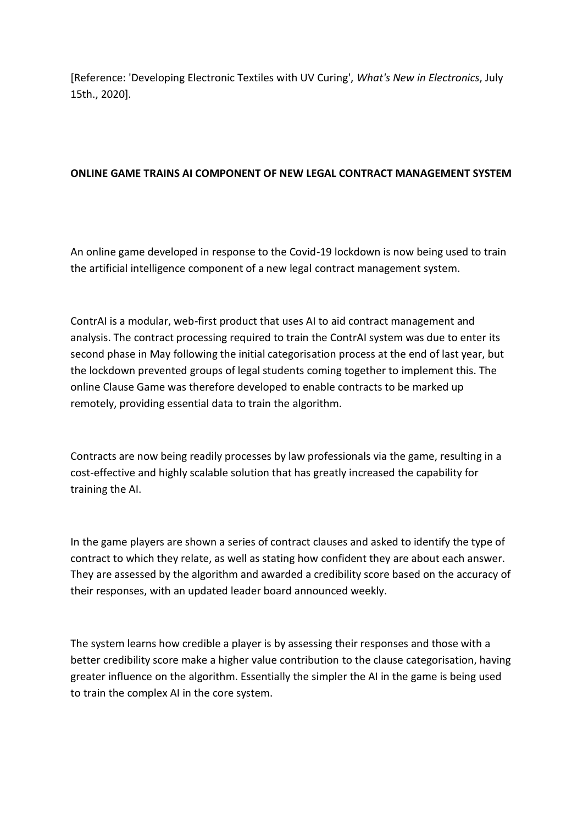[Reference: 'Developing Electronic Textiles with UV Curing', *What's New in Electronics*, July 15th., 2020].

### **ONLINE GAME TRAINS AI COMPONENT OF NEW LEGAL CONTRACT MANAGEMENT SYSTEM**

An online game developed in response to the Covid-19 lockdown is now being used to train the artificial intelligence component of a new legal contract management system.

ContrAI is a modular, web-first product that uses AI to aid contract management and analysis. The contract processing required to train the ContrAI system was due to enter its second phase in May following the initial categorisation process at the end of last year, but the lockdown prevented groups of legal students coming together to implement this. The online Clause Game was therefore developed to enable contracts to be marked up remotely, providing essential data to train the algorithm.

Contracts are now being readily processes by law professionals via the game, resulting in a cost-effective and highly scalable solution that has greatly increased the capability for training the AI.

In the game players are shown a series of contract clauses and asked to identify the type of contract to which they relate, as well as stating how confident they are about each answer. They are assessed by the algorithm and awarded a credibility score based on the accuracy of their responses, with an updated leader board announced weekly.

The system learns how credible a player is by assessing their responses and those with a better credibility score make a higher value contribution to the clause categorisation, having greater influence on the algorithm. Essentially the simpler the AI in the game is being used to train the complex AI in the core system.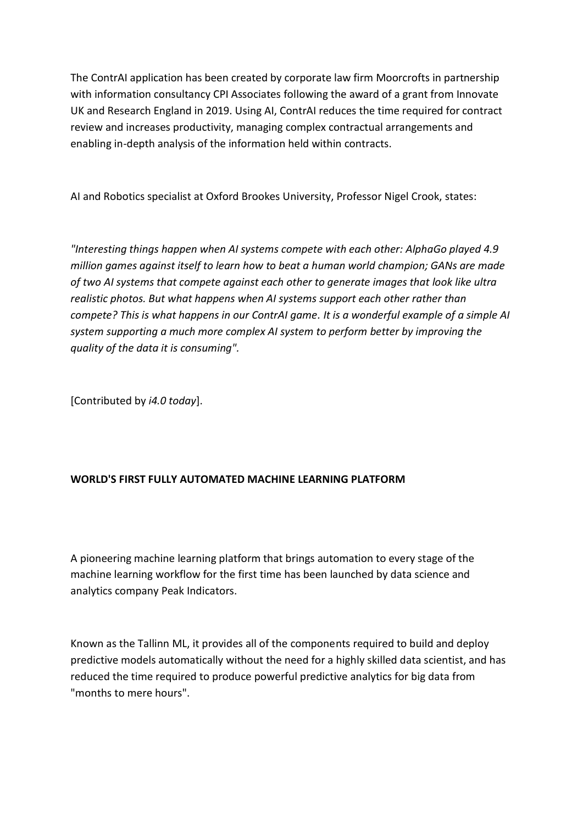The ContrAI application has been created by corporate law firm Moorcrofts in partnership with information consultancy CPI Associates following the award of a grant from Innovate UK and Research England in 2019. Using AI, ContrAI reduces the time required for contract review and increases productivity, managing complex contractual arrangements and enabling in-depth analysis of the information held within contracts.

AI and Robotics specialist at Oxford Brookes University, Professor Nigel Crook, states:

*"Interesting things happen when AI systems compete with each other: AlphaGo played 4.9 million games against itself to learn how to beat a human world champion; GANs are made of two AI systems that compete against each other to generate images that look like ultra realistic photos. But what happens when AI systems support each other rather than compete? This is what happens in our ContrAI game. It is a wonderful example of a simple AI system supporting a much more complex AI system to perform better by improving the quality of the data it is consuming".*

[Contributed by *i4.0 today*].

# **WORLD'S FIRST FULLY AUTOMATED MACHINE LEARNING PLATFORM**

A pioneering machine learning platform that brings automation to every stage of the machine learning workflow for the first time has been launched by data science and analytics company Peak Indicators.

Known as the Tallinn ML, it provides all of the components required to build and deploy predictive models automatically without the need for a highly skilled data scientist, and has reduced the time required to produce powerful predictive analytics for big data from "months to mere hours".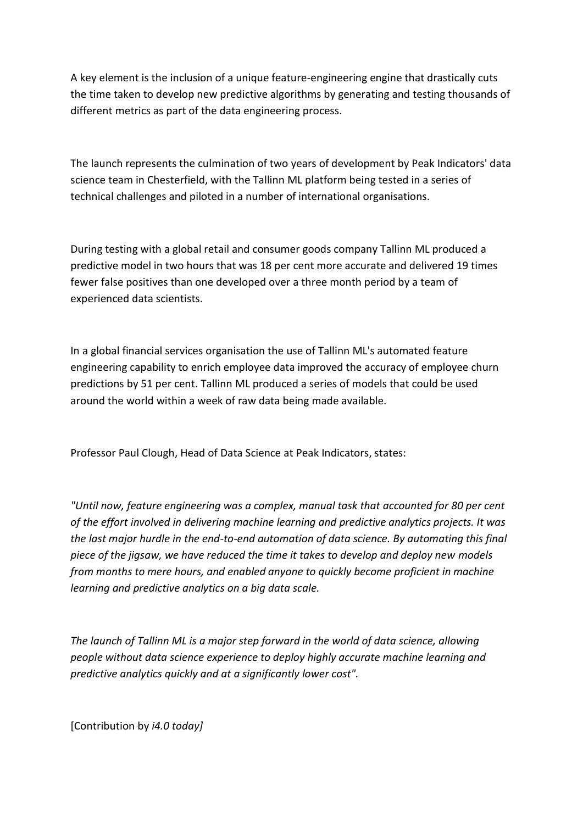A key element is the inclusion of a unique feature-engineering engine that drastically cuts the time taken to develop new predictive algorithms by generating and testing thousands of different metrics as part of the data engineering process.

The launch represents the culmination of two years of development by Peak Indicators' data science team in Chesterfield, with the Tallinn ML platform being tested in a series of technical challenges and piloted in a number of international organisations.

During testing with a global retail and consumer goods company Tallinn ML produced a predictive model in two hours that was 18 per cent more accurate and delivered 19 times fewer false positives than one developed over a three month period by a team of experienced data scientists.

In a global financial services organisation the use of Tallinn ML's automated feature engineering capability to enrich employee data improved the accuracy of employee churn predictions by 51 per cent. Tallinn ML produced a series of models that could be used around the world within a week of raw data being made available.

Professor Paul Clough, Head of Data Science at Peak Indicators, states:

*"Until now, feature engineering was a complex, manual task that accounted for 80 per cent of the effort involved in delivering machine learning and predictive analytics projects. It was the last major hurdle in the end-to-end automation of data science. By automating this final piece of the jigsaw, we have reduced the time it takes to develop and deploy new models from months to mere hours, and enabled anyone to quickly become proficient in machine learning and predictive analytics on a big data scale.*

*The launch of Tallinn ML is a major step forward in the world of data science, allowing people without data science experience to deploy highly accurate machine learning and predictive analytics quickly and at a significantly lower cost".*

[Contribution by *i4.0 today]*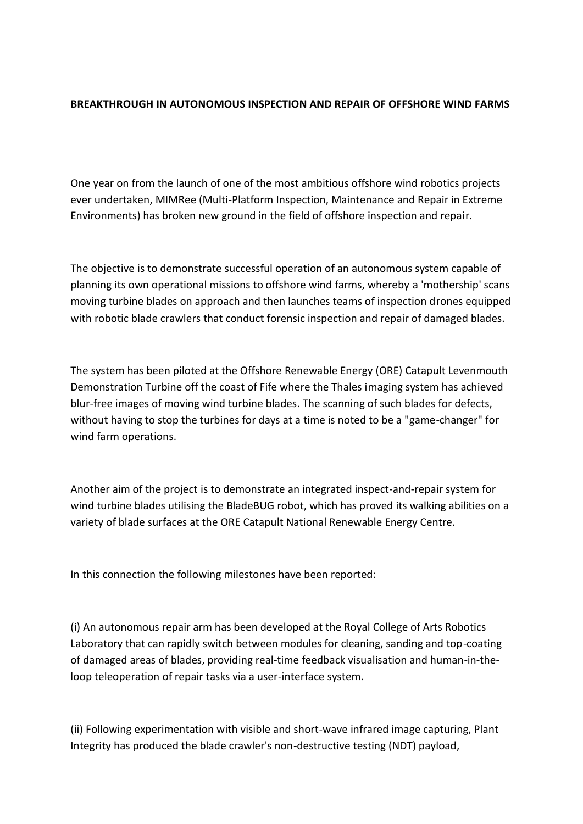### **BREAKTHROUGH IN AUTONOMOUS INSPECTION AND REPAIR OF OFFSHORE WIND FARMS**

One year on from the launch of one of the most ambitious offshore wind robotics projects ever undertaken, MIMRee (Multi-Platform Inspection, Maintenance and Repair in Extreme Environments) has broken new ground in the field of offshore inspection and repair.

The objective is to demonstrate successful operation of an autonomous system capable of planning its own operational missions to offshore wind farms, whereby a 'mothership' scans moving turbine blades on approach and then launches teams of inspection drones equipped with robotic blade crawlers that conduct forensic inspection and repair of damaged blades.

The system has been piloted at the Offshore Renewable Energy (ORE) Catapult Levenmouth Demonstration Turbine off the coast of Fife where the Thales imaging system has achieved blur-free images of moving wind turbine blades. The scanning of such blades for defects, without having to stop the turbines for days at a time is noted to be a "game-changer" for wind farm operations.

Another aim of the project is to demonstrate an integrated inspect-and-repair system for wind turbine blades utilising the BladeBUG robot, which has proved its walking abilities on a variety of blade surfaces at the ORE Catapult National Renewable Energy Centre.

In this connection the following milestones have been reported:

(i) An autonomous repair arm has been developed at the Royal College of Arts Robotics Laboratory that can rapidly switch between modules for cleaning, sanding and top-coating of damaged areas of blades, providing real-time feedback visualisation and human-in-theloop teleoperation of repair tasks via a user-interface system.

(ii) Following experimentation with visible and short-wave infrared image capturing, Plant Integrity has produced the blade crawler's non-destructive testing (NDT) payload,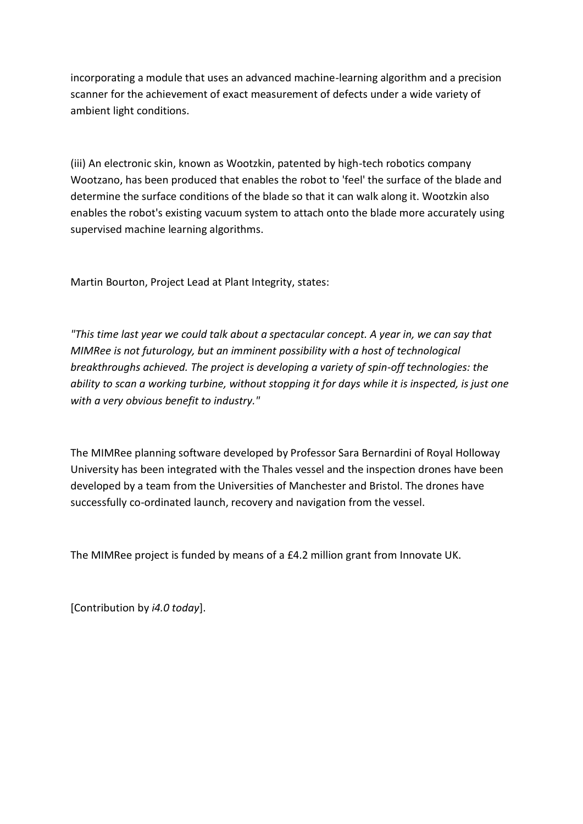incorporating a module that uses an advanced machine-learning algorithm and a precision scanner for the achievement of exact measurement of defects under a wide variety of ambient light conditions.

(iii) An electronic skin, known as Wootzkin, patented by high-tech robotics company Wootzano, has been produced that enables the robot to 'feel' the surface of the blade and determine the surface conditions of the blade so that it can walk along it. Wootzkin also enables the robot's existing vacuum system to attach onto the blade more accurately using supervised machine learning algorithms.

Martin Bourton, Project Lead at Plant Integrity, states:

*"This time last year we could talk about a spectacular concept. A year in, we can say that MIMRee is not futurology, but an imminent possibility with a host of technological breakthroughs achieved. The project is developing a variety of spin-off technologies: the ability to scan a working turbine, without stopping it for days while it is inspected, is just one with a very obvious benefit to industry."*

The MIMRee planning software developed by Professor Sara Bernardini of Royal Holloway University has been integrated with the Thales vessel and the inspection drones have been developed by a team from the Universities of Manchester and Bristol. The drones have successfully co-ordinated launch, recovery and navigation from the vessel.

The MIMRee project is funded by means of a £4.2 million grant from Innovate UK.

[Contribution by *i4.0 today*].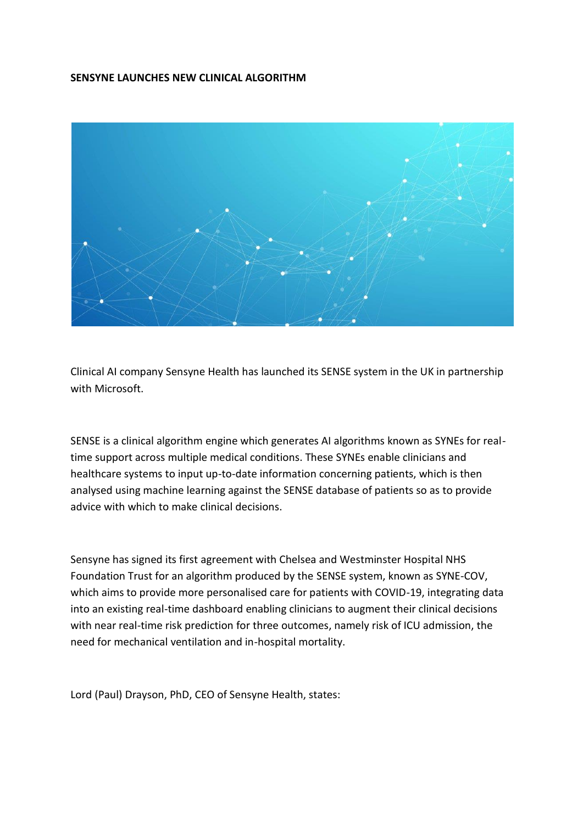### **SENSYNE LAUNCHES NEW CLINICAL ALGORITHM**



Clinical AI company Sensyne Health has launched its SENSE system in the UK in partnership with Microsoft.

SENSE is a clinical algorithm engine which generates AI algorithms known as SYNEs for realtime support across multiple medical conditions. These SYNEs enable clinicians and healthcare systems to input up-to-date information concerning patients, which is then analysed using machine learning against the SENSE database of patients so as to provide advice with which to make clinical decisions.

Sensyne has signed its first agreement with Chelsea and Westminster Hospital NHS Foundation Trust for an algorithm produced by the SENSE system, known as SYNE-COV, which aims to provide more personalised care for patients with COVID-19, integrating data into an existing real-time dashboard enabling clinicians to augment their clinical decisions with near real-time risk prediction for three outcomes, namely risk of ICU admission, the need for mechanical ventilation and in-hospital mortality.

Lord (Paul) Drayson, PhD, CEO of Sensyne Health, states: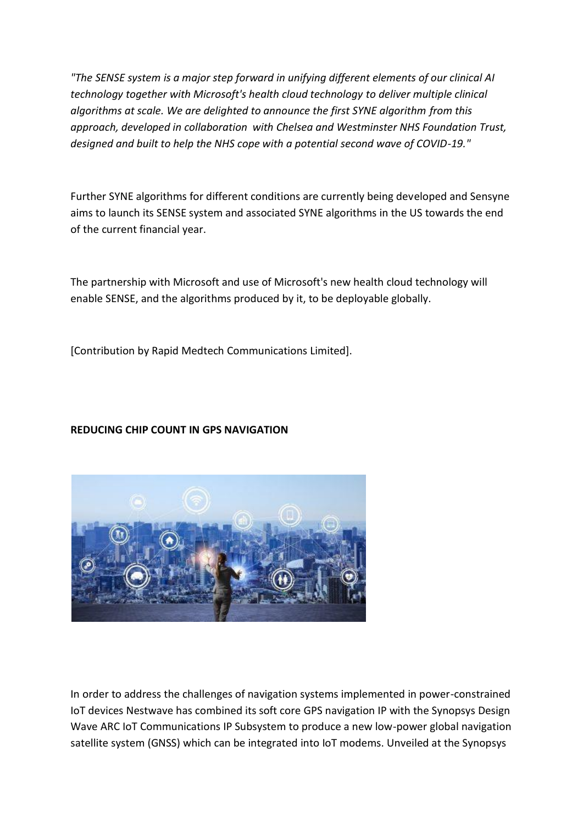*"The SENSE system is a major step forward in unifying different elements of our clinical AI technology together with Microsoft's health cloud technology to deliver multiple clinical algorithms at scale. We are delighted to announce the first SYNE algorithm from this approach, developed in collaboration with Chelsea and Westminster NHS Foundation Trust, designed and built to help the NHS cope with a potential second wave of COVID-19."*

Further SYNE algorithms for different conditions are currently being developed and Sensyne aims to launch its SENSE system and associated SYNE algorithms in the US towards the end of the current financial year.

The partnership with Microsoft and use of Microsoft's new health cloud technology will enable SENSE, and the algorithms produced by it, to be deployable globally.

[Contribution by Rapid Medtech Communications Limited].

# **REDUCING CHIP COUNT IN GPS NAVIGATION**



In order to address the challenges of navigation systems implemented in power-constrained IoT devices Nestwave has combined its soft core GPS navigation IP with the Synopsys Design Wave ARC IoT Communications IP Subsystem to produce a new low-power global navigation satellite system (GNSS) which can be integrated into IoT modems. Unveiled at the Synopsys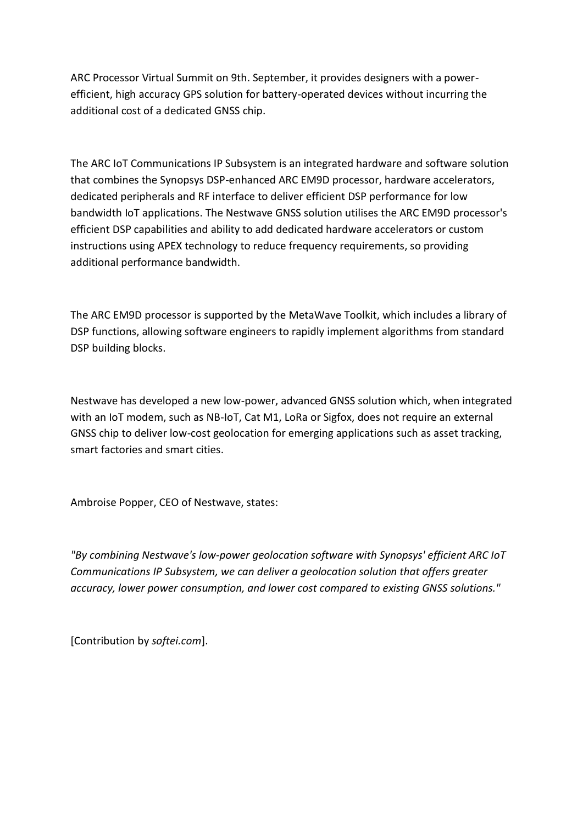ARC Processor Virtual Summit on 9th. September, it provides designers with a powerefficient, high accuracy GPS solution for battery-operated devices without incurring the additional cost of a dedicated GNSS chip.

The ARC IoT Communications IP Subsystem is an integrated hardware and software solution that combines the Synopsys DSP-enhanced ARC EM9D processor, hardware accelerators, dedicated peripherals and RF interface to deliver efficient DSP performance for low bandwidth IoT applications. The Nestwave GNSS solution utilises the ARC EM9D processor's efficient DSP capabilities and ability to add dedicated hardware accelerators or custom instructions using APEX technology to reduce frequency requirements, so providing additional performance bandwidth.

The ARC EM9D processor is supported by the MetaWave Toolkit, which includes a library of DSP functions, allowing software engineers to rapidly implement algorithms from standard DSP building blocks.

Nestwave has developed a new low-power, advanced GNSS solution which, when integrated with an IoT modem, such as NB-IoT, Cat M1, LoRa or Sigfox, does not require an external GNSS chip to deliver low-cost geolocation for emerging applications such as asset tracking, smart factories and smart cities.

Ambroise Popper, CEO of Nestwave, states:

*"By combining Nestwave's low-power geolocation software with Synopsys' efficient ARC IoT Communications IP Subsystem, we can deliver a geolocation solution that offers greater accuracy, lower power consumption, and lower cost compared to existing GNSS solutions."*

[Contribution by *softei.com*].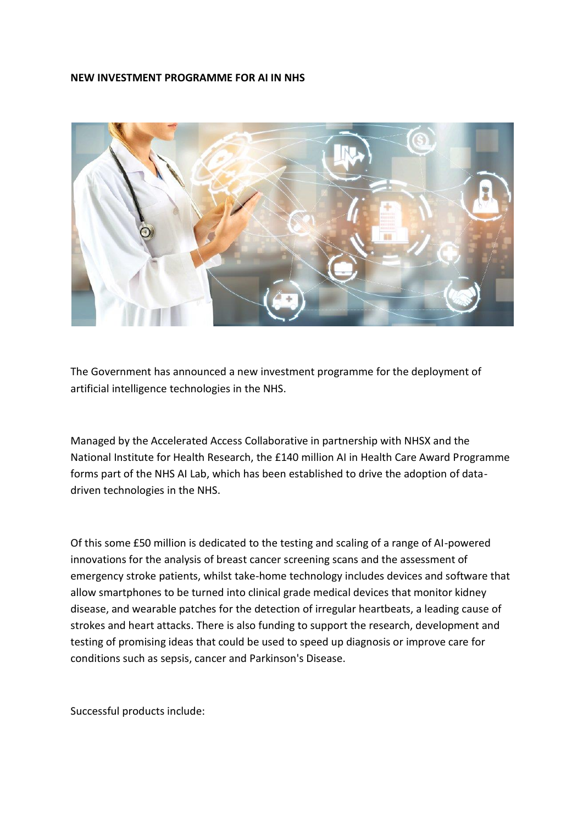#### **NEW INVESTMENT PROGRAMME FOR AI IN NHS**



The Government has announced a new investment programme for the deployment of artificial intelligence technologies in the NHS.

Managed by the Accelerated Access Collaborative in partnership with NHSX and the National Institute for Health Research, the £140 million AI in Health Care Award Programme forms part of the NHS AI Lab, which has been established to drive the adoption of datadriven technologies in the NHS.

Of this some £50 million is dedicated to the testing and scaling of a range of AI-powered innovations for the analysis of breast cancer screening scans and the assessment of emergency stroke patients, whilst take-home technology includes devices and software that allow smartphones to be turned into clinical grade medical devices that monitor kidney disease, and wearable patches for the detection of irregular heartbeats, a leading cause of strokes and heart attacks. There is also funding to support the research, development and testing of promising ideas that could be used to speed up diagnosis or improve care for conditions such as sepsis, cancer and Parkinson's Disease.

Successful products include: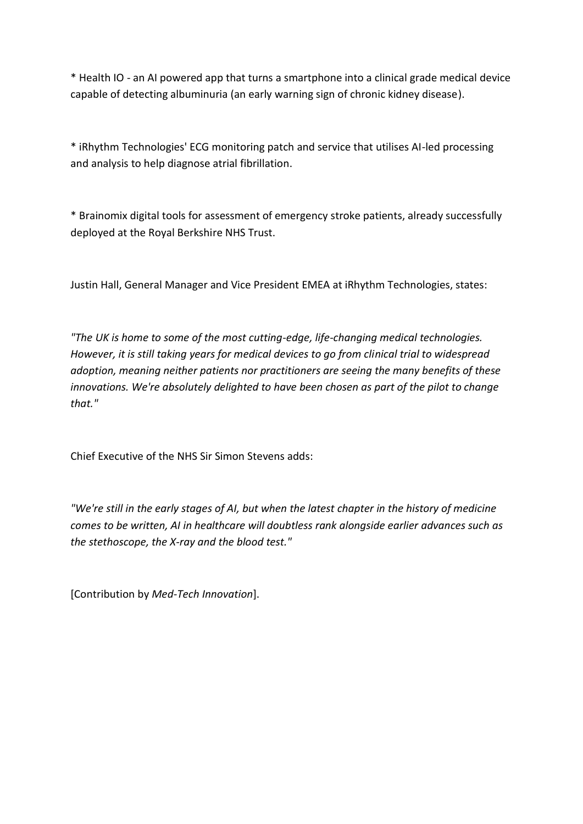\* Health IO - an AI powered app that turns a smartphone into a clinical grade medical device capable of detecting albuminuria (an early warning sign of chronic kidney disease).

\* iRhythm Technologies' ECG monitoring patch and service that utilises AI-led processing and analysis to help diagnose atrial fibrillation.

\* Brainomix digital tools for assessment of emergency stroke patients, already successfully deployed at the Royal Berkshire NHS Trust.

Justin Hall, General Manager and Vice President EMEA at iRhythm Technologies, states:

*"The UK is home to some of the most cutting-edge, life-changing medical technologies. However, it is still taking years for medical devices to go from clinical trial to widespread adoption, meaning neither patients nor practitioners are seeing the many benefits of these innovations. We're absolutely delighted to have been chosen as part of the pilot to change that."*

Chief Executive of the NHS Sir Simon Stevens adds:

*"We're still in the early stages of AI, but when the latest chapter in the history of medicine comes to be written, AI in healthcare will doubtless rank alongside earlier advances such as the stethoscope, the X-ray and the blood test."*

[Contribution by *Med-Tech Innovation*].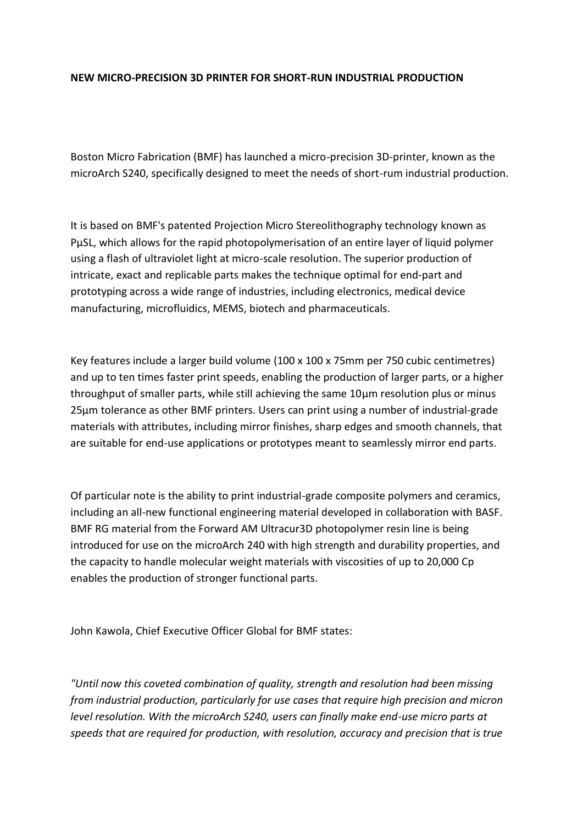### **NEW MICRO-PRECISION 3D PRINTER FOR SHORT-RUN INDUSTRIAL PRODUCTION**

Boston Micro Fabrication (BMF) has launched a micro-precision 3D-printer, known as the microArch S240, specifically designed to meet the needs of short-rum industrial production.

It is based on BMF's patented Projection Micro Stereolithography technology known as PµSL, which allows for the rapid photopolymerisation of an entire layer of liquid polymer using a flash of ultraviolet light at micro-scale resolution. The superior production of intricate, exact and replicable parts makes the technique optimal for end-part and prototyping across a wide range of industries, including electronics, medical device manufacturing, microfluidics, MEMS, biotech and pharmaceuticals.

Key features include a larger build volume (100 x 100 x 75mm per 750 cubic centimetres) and up to ten times faster print speeds, enabling the production of larger parts, or a higher throughput of smaller parts, while still achieving the same 10µm resolution plus or minus 25µm tolerance as other BMF printers. Users can print using a number of industrial-grade materials with attributes, including mirror finishes, sharp edges and smooth channels, that are suitable for end-use applications or prototypes meant to seamlessly mirror end parts.

Of particular note is the ability to print industrial-grade composite polymers and ceramics, including an all-new functional engineering material developed in collaboration with BASF. BMF RG material from the Forward AM Ultracur3D photopolymer resin line is being introduced for use on the microArch 240 with high strength and durability properties, and the capacity to handle molecular weight materials with viscosities of up to 20,000 Cp enables the production of stronger functional parts.

John Kawola, Chief Executive Officer Global for BMF states:

*"Until now this coveted combination of quality, strength and resolution had been missing from industrial production, particularly for use cases that require high precision and micron level resolution. With the microArch S240, users can finally make end-use micro parts at speeds that are required for production, with resolution, accuracy and precision that is true*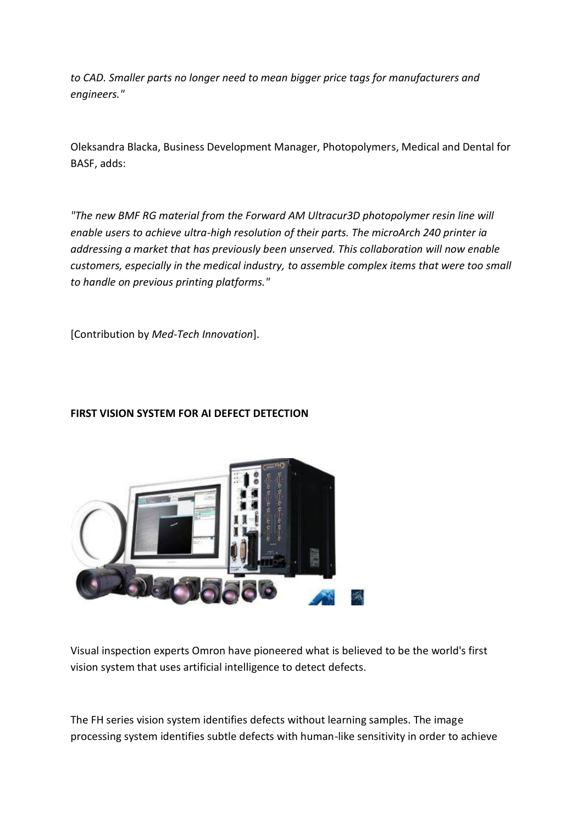*to CAD. Smaller parts no longer need to mean bigger price tags for manufacturers and engineers."*

Oleksandra Blacka, Business Development Manager, Photopolymers, Medical and Dental for BASF, adds:

*"The new BMF RG material from the Forward AM Ultracur3D photopolymer resin line will enable users to achieve ultra-high resolution of their parts. The microArch 240 printer ia addressing a market that has previously been unserved. This collaboration will now enable customers, especially in the medical industry, to assemble complex items that were too small to handle on previous printing platforms."*

[Contribution by *Med-Tech Innovation*].

# **FIRST VISION SYSTEM FOR AI DEFECT DETECTION**



Visual inspection experts Omron have pioneered what is believed to be the world's first vision system that uses artificial intelligence to detect defects.

The FH series vision system identifies defects without learning samples. The image processing system identifies subtle defects with human-like sensitivity in order to achieve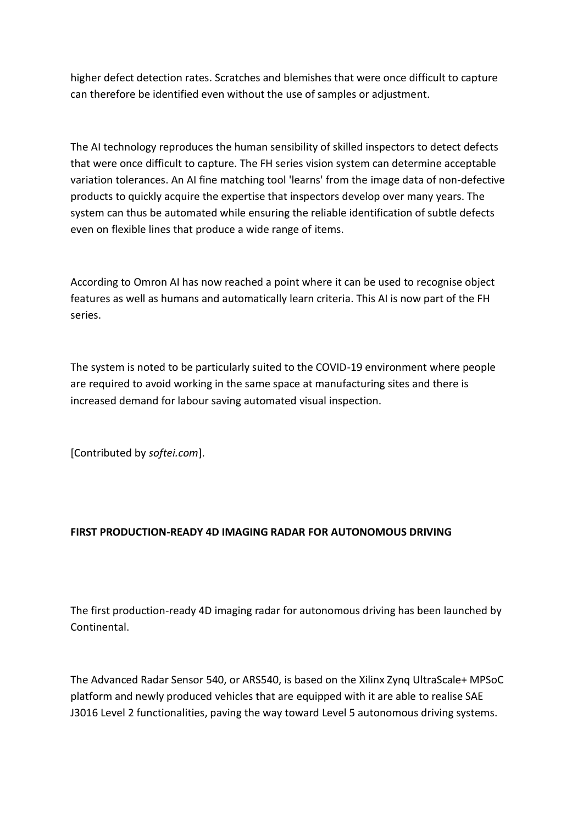higher defect detection rates. Scratches and blemishes that were once difficult to capture can therefore be identified even without the use of samples or adjustment.

The AI technology reproduces the human sensibility of skilled inspectors to detect defects that were once difficult to capture. The FH series vision system can determine acceptable variation tolerances. An AI fine matching tool 'learns' from the image data of non-defective products to quickly acquire the expertise that inspectors develop over many years. The system can thus be automated while ensuring the reliable identification of subtle defects even on flexible lines that produce a wide range of items.

According to Omron AI has now reached a point where it can be used to recognise object features as well as humans and automatically learn criteria. This AI is now part of the FH series.

The system is noted to be particularly suited to the COVID-19 environment where people are required to avoid working in the same space at manufacturing sites and there is increased demand for labour saving automated visual inspection.

[Contributed by *softei.com*].

# **FIRST PRODUCTION-READY 4D IMAGING RADAR FOR AUTONOMOUS DRIVING**

The first production-ready 4D imaging radar for autonomous driving has been launched by Continental.

The Advanced Radar Sensor 540, or ARS540, is based on the Xilinx Zynq UltraScale+ MPSoC platform and newly produced vehicles that are equipped with it are able to realise SAE J3016 Level 2 functionalities, paving the way toward Level 5 autonomous driving systems.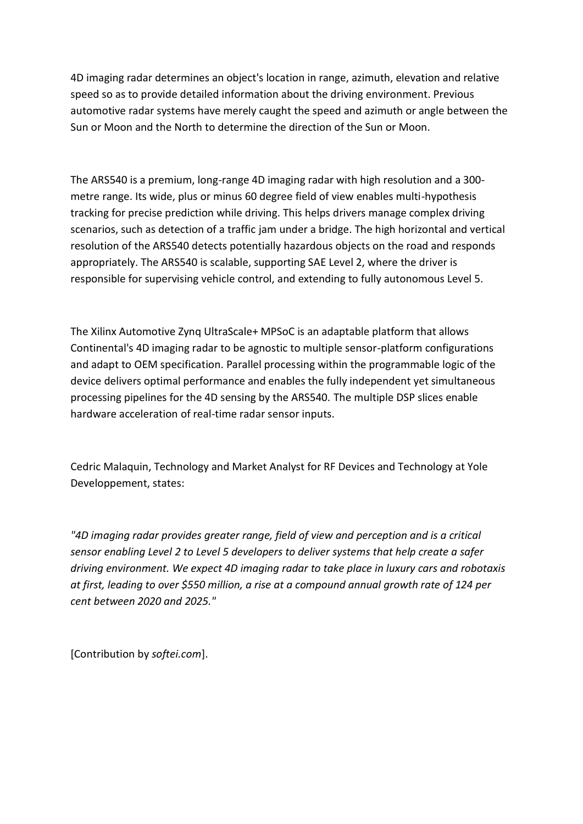4D imaging radar determines an object's location in range, azimuth, elevation and relative speed so as to provide detailed information about the driving environment. Previous automotive radar systems have merely caught the speed and azimuth or angle between the Sun or Moon and the North to determine the direction of the Sun or Moon.

The ARS540 is a premium, long-range 4D imaging radar with high resolution and a 300 metre range. Its wide, plus or minus 60 degree field of view enables multi-hypothesis tracking for precise prediction while driving. This helps drivers manage complex driving scenarios, such as detection of a traffic jam under a bridge. The high horizontal and vertical resolution of the ARS540 detects potentially hazardous objects on the road and responds appropriately. The ARS540 is scalable, supporting SAE Level 2, where the driver is responsible for supervising vehicle control, and extending to fully autonomous Level 5.

The Xilinx Automotive Zynq UltraScale+ MPSoC is an adaptable platform that allows Continental's 4D imaging radar to be agnostic to multiple sensor-platform configurations and adapt to OEM specification. Parallel processing within the programmable logic of the device delivers optimal performance and enables the fully independent yet simultaneous processing pipelines for the 4D sensing by the ARS540. The multiple DSP slices enable hardware acceleration of real-time radar sensor inputs.

Cedric Malaquin, Technology and Market Analyst for RF Devices and Technology at Yole Developpement, states:

*"4D imaging radar provides greater range, field of view and perception and is a critical sensor enabling Level 2 to Level 5 developers to deliver systems that help create a safer driving environment. We expect 4D imaging radar to take place in luxury cars and robotaxis at first, leading to over \$550 million, a rise at a compound annual growth rate of 124 per cent between 2020 and 2025."*

[Contribution by *softei.com*].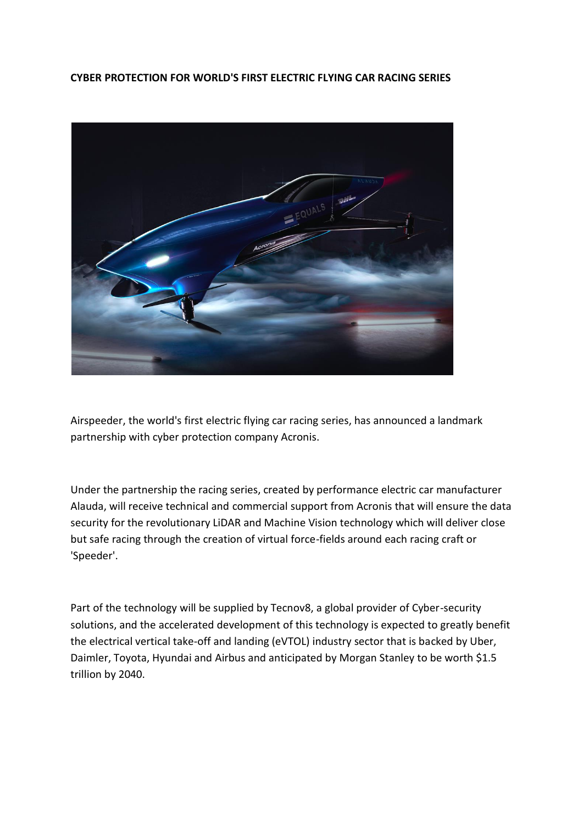### **CYBER PROTECTION FOR WORLD'S FIRST ELECTRIC FLYING CAR RACING SERIES**



Airspeeder, the world's first electric flying car racing series, has announced a landmark partnership with cyber protection company Acronis.

Under the partnership the racing series, created by performance electric car manufacturer Alauda, will receive technical and commercial support from Acronis that will ensure the data security for the revolutionary LiDAR and Machine Vision technology which will deliver close but safe racing through the creation of virtual force-fields around each racing craft or 'Speeder'.

Part of the technology will be supplied by Tecnov8, a global provider of Cyber-security solutions, and the accelerated development of this technology is expected to greatly benefit the electrical vertical take-off and landing (eVTOL) industry sector that is backed by Uber, Daimler, Toyota, Hyundai and Airbus and anticipated by Morgan Stanley to be worth \$1.5 trillion by 2040.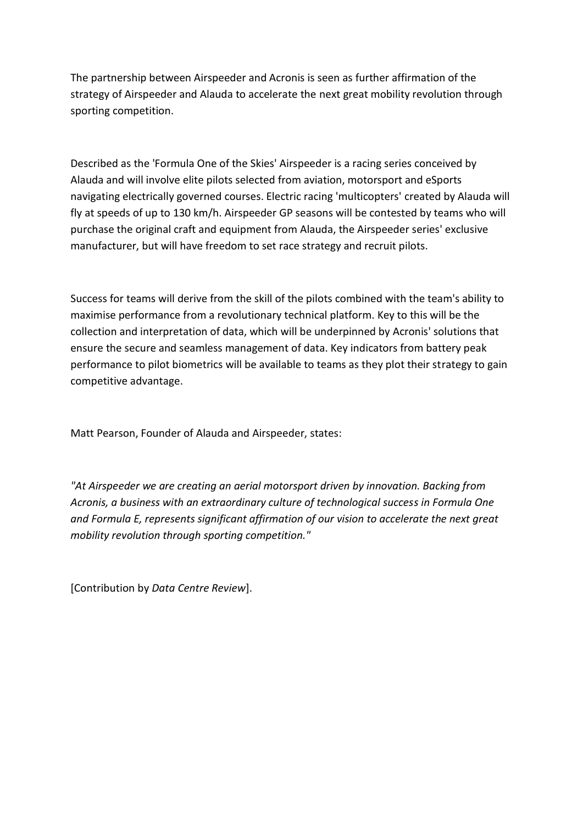The partnership between Airspeeder and Acronis is seen as further affirmation of the strategy of Airspeeder and Alauda to accelerate the next great mobility revolution through sporting competition.

Described as the 'Formula One of the Skies' Airspeeder is a racing series conceived by Alauda and will involve elite pilots selected from aviation, motorsport and eSports navigating electrically governed courses. Electric racing 'multicopters' created by Alauda will fly at speeds of up to 130 km/h. Airspeeder GP seasons will be contested by teams who will purchase the original craft and equipment from Alauda, the Airspeeder series' exclusive manufacturer, but will have freedom to set race strategy and recruit pilots.

Success for teams will derive from the skill of the pilots combined with the team's ability to maximise performance from a revolutionary technical platform. Key to this will be the collection and interpretation of data, which will be underpinned by Acronis' solutions that ensure the secure and seamless management of data. Key indicators from battery peak performance to pilot biometrics will be available to teams as they plot their strategy to gain competitive advantage.

Matt Pearson, Founder of Alauda and Airspeeder, states:

*"At Airspeeder we are creating an aerial motorsport driven by innovation. Backing from Acronis, a business with an extraordinary culture of technological success in Formula One and Formula E, represents significant affirmation of our vision to accelerate the next great mobility revolution through sporting competition."*

[Contribution by *Data Centre Review*].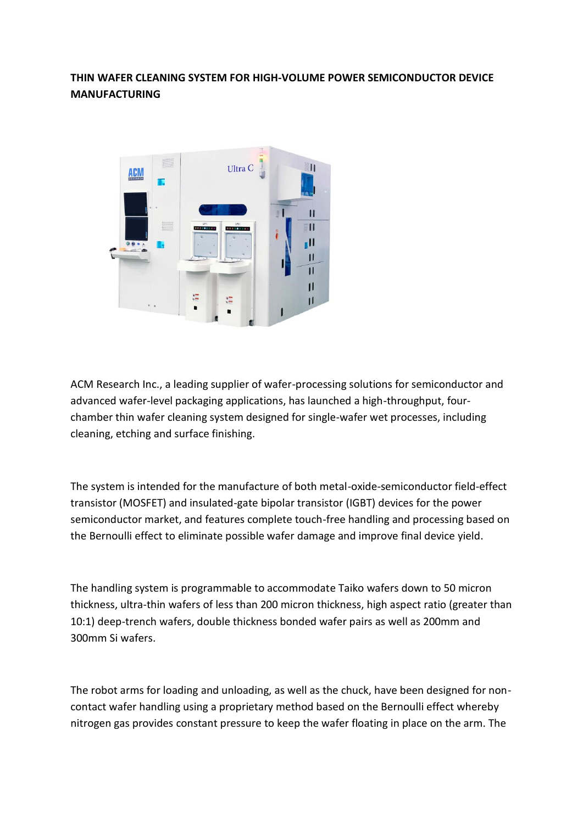# **THIN WAFER CLEANING SYSTEM FOR HIGH-VOLUME POWER SEMICONDUCTOR DEVICE MANUFACTURING**



ACM Research Inc., a leading supplier of wafer-processing solutions for semiconductor and advanced wafer-level packaging applications, has launched a high-throughput, fourchamber thin wafer cleaning system designed for single-wafer wet processes, including cleaning, etching and surface finishing.

The system is intended for the manufacture of both metal-oxide-semiconductor field-effect transistor (MOSFET) and insulated-gate bipolar transistor (IGBT) devices for the power semiconductor market, and features complete touch-free handling and processing based on the Bernoulli effect to eliminate possible wafer damage and improve final device yield.

The handling system is programmable to accommodate Taiko wafers down to 50 micron thickness, ultra-thin wafers of less than 200 micron thickness, high aspect ratio (greater than 10:1) deep-trench wafers, double thickness bonded wafer pairs as well as 200mm and 300mm Si wafers.

The robot arms for loading and unloading, as well as the chuck, have been designed for noncontact wafer handling using a proprietary method based on the Bernoulli effect whereby nitrogen gas provides constant pressure to keep the wafer floating in place on the arm. The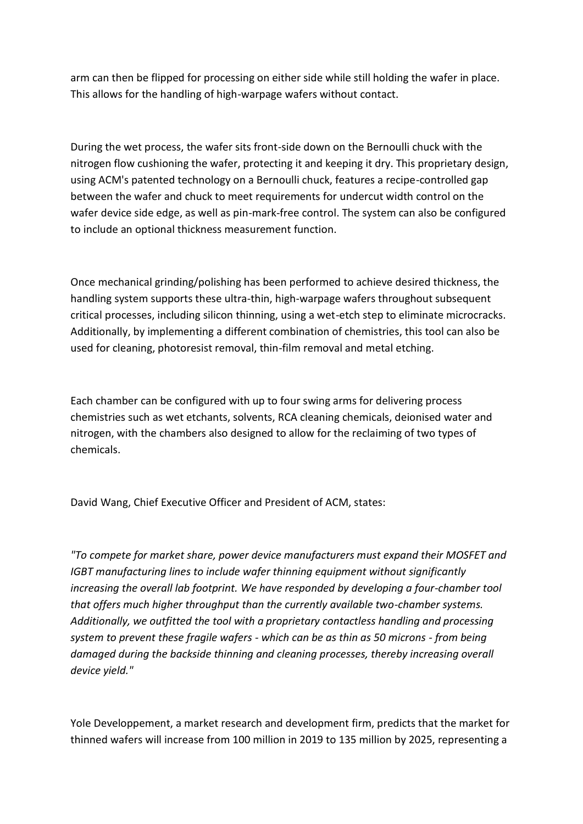arm can then be flipped for processing on either side while still holding the wafer in place. This allows for the handling of high-warpage wafers without contact.

During the wet process, the wafer sits front-side down on the Bernoulli chuck with the nitrogen flow cushioning the wafer, protecting it and keeping it dry. This proprietary design, using ACM's patented technology on a Bernoulli chuck, features a recipe-controlled gap between the wafer and chuck to meet requirements for undercut width control on the wafer device side edge, as well as pin-mark-free control. The system can also be configured to include an optional thickness measurement function.

Once mechanical grinding/polishing has been performed to achieve desired thickness, the handling system supports these ultra-thin, high-warpage wafers throughout subsequent critical processes, including silicon thinning, using a wet-etch step to eliminate microcracks. Additionally, by implementing a different combination of chemistries, this tool can also be used for cleaning, photoresist removal, thin-film removal and metal etching.

Each chamber can be configured with up to four swing arms for delivering process chemistries such as wet etchants, solvents, RCA cleaning chemicals, deionised water and nitrogen, with the chambers also designed to allow for the reclaiming of two types of chemicals.

David Wang, Chief Executive Officer and President of ACM, states:

*"To compete for market share, power device manufacturers must expand their MOSFET and IGBT manufacturing lines to include wafer thinning equipment without significantly increasing the overall lab footprint. We have responded by developing a four-chamber tool that offers much higher throughput than the currently available two-chamber systems. Additionally, we outfitted the tool with a proprietary contactless handling and processing system to prevent these fragile wafers - which can be as thin as 50 microns - from being damaged during the backside thinning and cleaning processes, thereby increasing overall device yield."*

Yole Developpement, a market research and development firm, predicts that the market for thinned wafers will increase from 100 million in 2019 to 135 million by 2025, representing a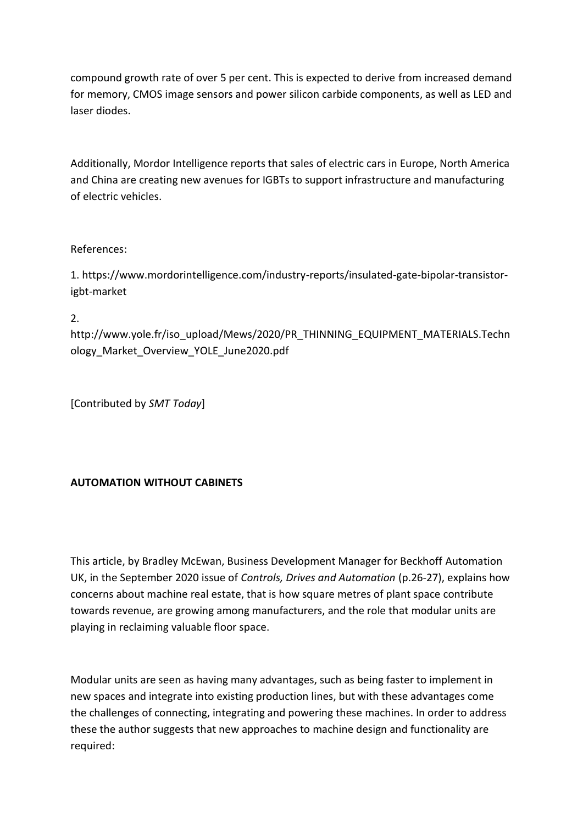compound growth rate of over 5 per cent. This is expected to derive from increased demand for memory, CMOS image sensors and power silicon carbide components, as well as LED and laser diodes.

Additionally, Mordor Intelligence reports that sales of electric cars in Europe, North America and China are creating new avenues for IGBTs to support infrastructure and manufacturing of electric vehicles.

# References:

1. https://www.mordorintelligence.com/industry-reports/insulated-gate-bipolar-transistorigbt-market

2.

http://www.yole.fr/iso\_upload/Mews/2020/PR\_THINNING\_EQUIPMENT\_MATERIALS.Techn ology\_Market\_Overview\_YOLE\_June2020.pdf

[Contributed by *SMT Today*]

# **AUTOMATION WITHOUT CABINETS**

This article, by Bradley McEwan, Business Development Manager for Beckhoff Automation UK, in the September 2020 issue of *Controls, Drives and Automation* (p.26-27), explains how concerns about machine real estate, that is how square metres of plant space contribute towards revenue, are growing among manufacturers, and the role that modular units are playing in reclaiming valuable floor space.

Modular units are seen as having many advantages, such as being faster to implement in new spaces and integrate into existing production lines, but with these advantages come the challenges of connecting, integrating and powering these machines. In order to address these the author suggests that new approaches to machine design and functionality are required: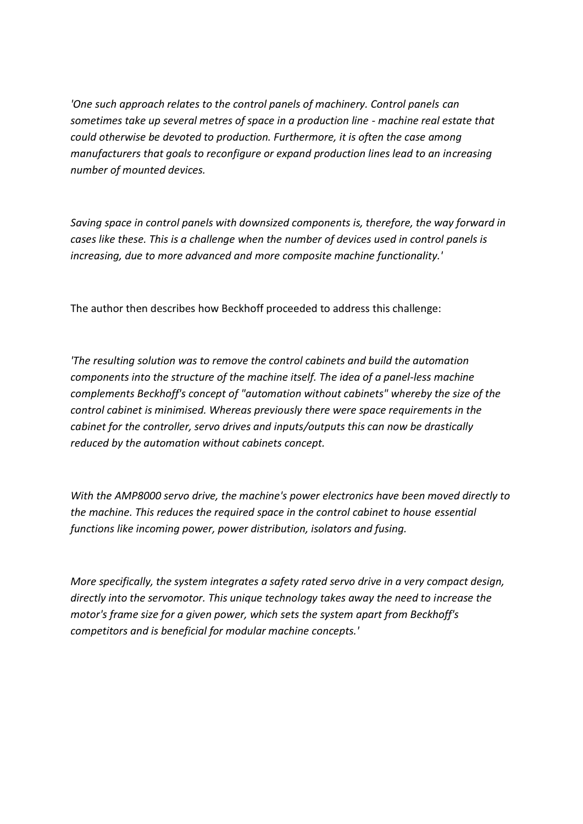*'One such approach relates to the control panels of machinery. Control panels can sometimes take up several metres of space in a production line - machine real estate that could otherwise be devoted to production. Furthermore, it is often the case among manufacturers that goals to reconfigure or expand production lines lead to an increasing number of mounted devices.*

*Saving space in control panels with downsized components is, therefore, the way forward in cases like these. This is a challenge when the number of devices used in control panels is increasing, due to more advanced and more composite machine functionality.'*

The author then describes how Beckhoff proceeded to address this challenge:

*'The resulting solution was to remove the control cabinets and build the automation components into the structure of the machine itself. The idea of a panel-less machine complements Beckhoff's concept of "automation without cabinets" whereby the size of the control cabinet is minimised. Whereas previously there were space requirements in the cabinet for the controller, servo drives and inputs/outputs this can now be drastically reduced by the automation without cabinets concept.*

*With the AMP8000 servo drive, the machine's power electronics have been moved directly to the machine. This reduces the required space in the control cabinet to house essential functions like incoming power, power distribution, isolators and fusing.*

*More specifically, the system integrates a safety rated servo drive in a very compact design, directly into the servomotor. This unique technology takes away the need to increase the motor's frame size for a given power, which sets the system apart from Beckhoff's competitors and is beneficial for modular machine concepts.'*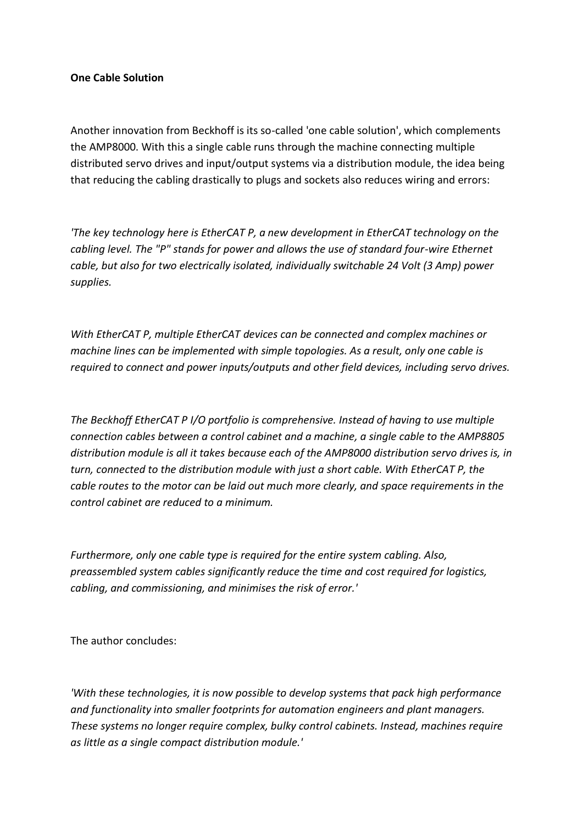### **One Cable Solution**

Another innovation from Beckhoff is its so-called 'one cable solution', which complements the AMP8000. With this a single cable runs through the machine connecting multiple distributed servo drives and input/output systems via a distribution module, the idea being that reducing the cabling drastically to plugs and sockets also reduces wiring and errors:

*'The key technology here is EtherCAT P, a new development in EtherCAT technology on the cabling level. The "P" stands for power and allows the use of standard four-wire Ethernet cable, but also for two electrically isolated, individually switchable 24 Volt (3 Amp) power supplies.*

*With EtherCAT P, multiple EtherCAT devices can be connected and complex machines or machine lines can be implemented with simple topologies. As a result, only one cable is required to connect and power inputs/outputs and other field devices, including servo drives.*

*The Beckhoff EtherCAT P I/O portfolio is comprehensive. Instead of having to use multiple connection cables between a control cabinet and a machine, a single cable to the AMP8805 distribution module is all it takes because each of the AMP8000 distribution servo drives is, in turn, connected to the distribution module with just a short cable. With EtherCAT P, the cable routes to the motor can be laid out much more clearly, and space requirements in the control cabinet are reduced to a minimum.*

*Furthermore, only one cable type is required for the entire system cabling. Also, preassembled system cables significantly reduce the time and cost required for logistics, cabling, and commissioning, and minimises the risk of error.'*

The author concludes:

*'With these technologies, it is now possible to develop systems that pack high performance and functionality into smaller footprints for automation engineers and plant managers. These systems no longer require complex, bulky control cabinets. Instead, machines require as little as a single compact distribution module.'*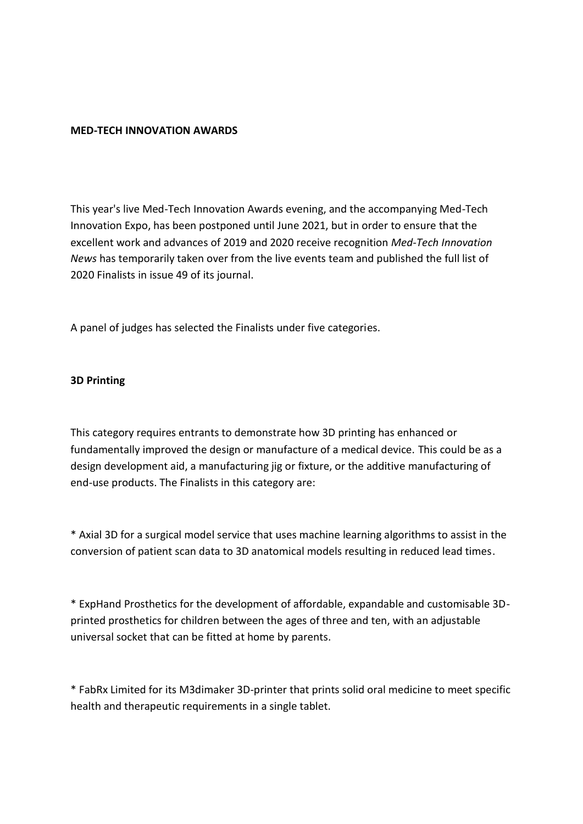#### **MED-TECH INNOVATION AWARDS**

This year's live Med-Tech Innovation Awards evening, and the accompanying Med-Tech Innovation Expo, has been postponed until June 2021, but in order to ensure that the excellent work and advances of 2019 and 2020 receive recognition *Med-Tech Innovation News* has temporarily taken over from the live events team and published the full list of 2020 Finalists in issue 49 of its journal.

A panel of judges has selected the Finalists under five categories.

### **3D Printing**

This category requires entrants to demonstrate how 3D printing has enhanced or fundamentally improved the design or manufacture of a medical device. This could be as a design development aid, a manufacturing jig or fixture, or the additive manufacturing of end-use products. The Finalists in this category are:

\* Axial 3D for a surgical model service that uses machine learning algorithms to assist in the conversion of patient scan data to 3D anatomical models resulting in reduced lead times.

\* ExpHand Prosthetics for the development of affordable, expandable and customisable 3Dprinted prosthetics for children between the ages of three and ten, with an adjustable universal socket that can be fitted at home by parents.

\* FabRx Limited for its M3dimaker 3D-printer that prints solid oral medicine to meet specific health and therapeutic requirements in a single tablet.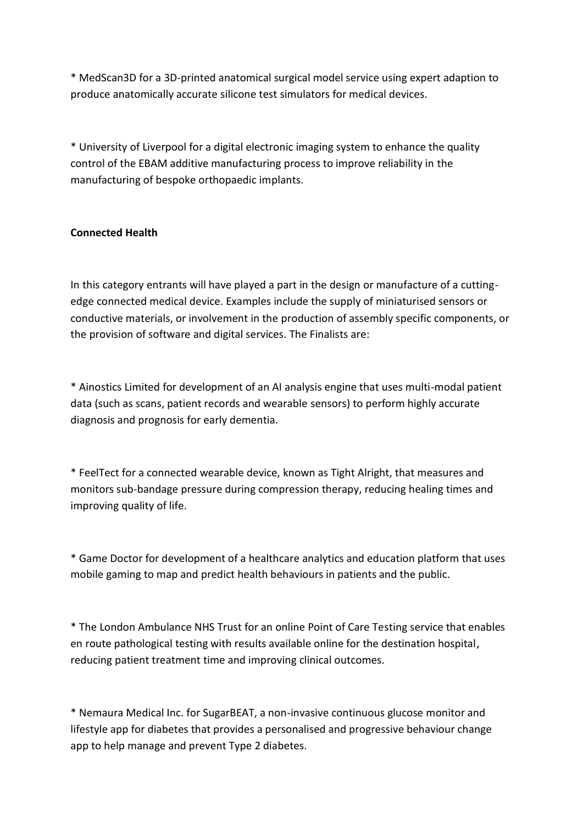\* MedScan3D for a 3D-printed anatomical surgical model service using expert adaption to produce anatomically accurate silicone test simulators for medical devices.

\* University of Liverpool for a digital electronic imaging system to enhance the quality control of the EBAM additive manufacturing process to improve reliability in the manufacturing of bespoke orthopaedic implants.

### **Connected Health**

In this category entrants will have played a part in the design or manufacture of a cuttingedge connected medical device. Examples include the supply of miniaturised sensors or conductive materials, or involvement in the production of assembly specific components, or the provision of software and digital services. The Finalists are:

\* Ainostics Limited for development of an AI analysis engine that uses multi-modal patient data (such as scans, patient records and wearable sensors) to perform highly accurate diagnosis and prognosis for early dementia.

\* FeelTect for a connected wearable device, known as Tight Alright, that measures and monitors sub-bandage pressure during compression therapy, reducing healing times and improving quality of life.

\* Game Doctor for development of a healthcare analytics and education platform that uses mobile gaming to map and predict health behaviours in patients and the public.

\* The London Ambulance NHS Trust for an online Point of Care Testing service that enables en route pathological testing with results available online for the destination hospital, reducing patient treatment time and improving clinical outcomes.

\* Nemaura Medical Inc. for SugarBEAT, a non-invasive continuous glucose monitor and lifestyle app for diabetes that provides a personalised and progressive behaviour change app to help manage and prevent Type 2 diabetes.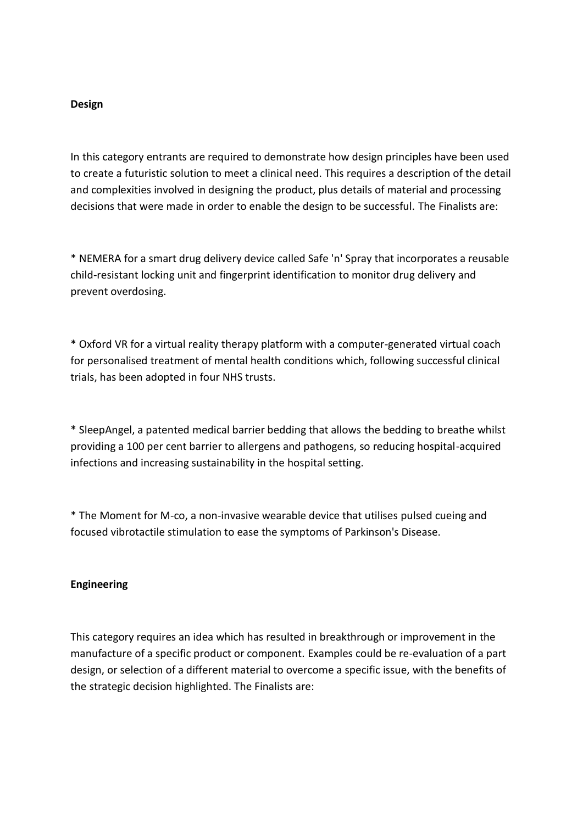#### **Design**

In this category entrants are required to demonstrate how design principles have been used to create a futuristic solution to meet a clinical need. This requires a description of the detail and complexities involved in designing the product, plus details of material and processing decisions that were made in order to enable the design to be successful. The Finalists are:

\* NEMERA for a smart drug delivery device called Safe 'n' Spray that incorporates a reusable child-resistant locking unit and fingerprint identification to monitor drug delivery and prevent overdosing.

\* Oxford VR for a virtual reality therapy platform with a computer-generated virtual coach for personalised treatment of mental health conditions which, following successful clinical trials, has been adopted in four NHS trusts.

\* SleepAngel, a patented medical barrier bedding that allows the bedding to breathe whilst providing a 100 per cent barrier to allergens and pathogens, so reducing hospital-acquired infections and increasing sustainability in the hospital setting.

\* The Moment for M-co, a non-invasive wearable device that utilises pulsed cueing and focused vibrotactile stimulation to ease the symptoms of Parkinson's Disease.

#### **Engineering**

This category requires an idea which has resulted in breakthrough or improvement in the manufacture of a specific product or component. Examples could be re-evaluation of a part design, or selection of a different material to overcome a specific issue, with the benefits of the strategic decision highlighted. The Finalists are: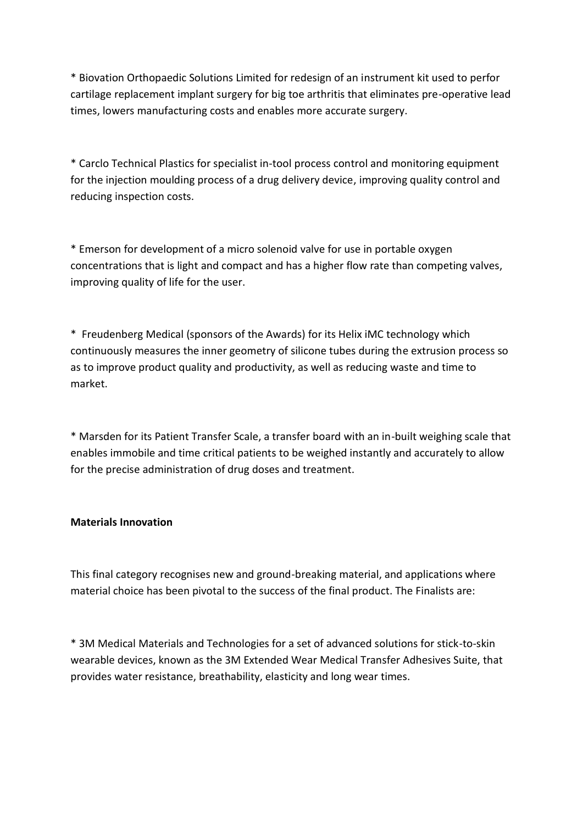\* Biovation Orthopaedic Solutions Limited for redesign of an instrument kit used to perfor cartilage replacement implant surgery for big toe arthritis that eliminates pre-operative lead times, lowers manufacturing costs and enables more accurate surgery.

\* Carclo Technical Plastics for specialist in-tool process control and monitoring equipment for the injection moulding process of a drug delivery device, improving quality control and reducing inspection costs.

\* Emerson for development of a micro solenoid valve for use in portable oxygen concentrations that is light and compact and has a higher flow rate than competing valves, improving quality of life for the user.

\* Freudenberg Medical (sponsors of the Awards) for its Helix iMC technology which continuously measures the inner geometry of silicone tubes during the extrusion process so as to improve product quality and productivity, as well as reducing waste and time to market.

\* Marsden for its Patient Transfer Scale, a transfer board with an in-built weighing scale that enables immobile and time critical patients to be weighed instantly and accurately to allow for the precise administration of drug doses and treatment.

### **Materials Innovation**

This final category recognises new and ground-breaking material, and applications where material choice has been pivotal to the success of the final product. The Finalists are:

\* 3M Medical Materials and Technologies for a set of advanced solutions for stick-to-skin wearable devices, known as the 3M Extended Wear Medical Transfer Adhesives Suite, that provides water resistance, breathability, elasticity and long wear times.